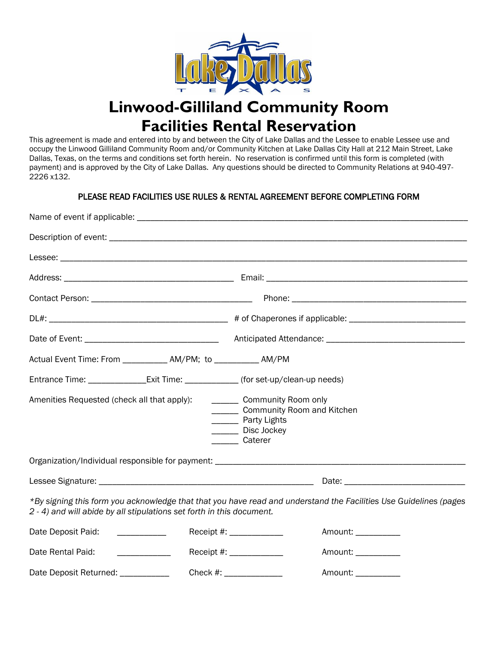

# **Linwood-Gilliland Community Room Facilities Rental Reservation**

This agreement is made and entered into by and between the City of Lake Dallas and the Lessee to enable Lessee use and occupy the Linwood Gilliland Community Room and/or Community Kitchen at Lake Dallas City Hall at 212 Main Street, Lake Dallas, Texas, on the terms and conditions set forth herein. No reservation is confirmed until this form is completed (with payment) and is approved by the City of Lake Dallas. Any questions should be directed to Community Relations at 940-497- 2226 x132.

## PLEASE READ FACILITIES USE RULES & RENTAL AGREEMENT BEFORE COMPLETING FORM

| Actual Event Time: From ____________ AM/PM; to __________ AM/PM                      |                                                                                            |                                                                                                                   |  |
|--------------------------------------------------------------------------------------|--------------------------------------------------------------------------------------------|-------------------------------------------------------------------------------------------------------------------|--|
| Entrance Time: _________________Exit Time: ______________(for set-up/clean-up needs) |                                                                                            |                                                                                                                   |  |
| Amenities Requested (check all that apply):                                          | __________ Community Room only<br>_________ Party Lights<br>_______ Disc Jockey<br>Caterer | _______ Community Room and Kitchen                                                                                |  |
|                                                                                      |                                                                                            |                                                                                                                   |  |
|                                                                                      |                                                                                            |                                                                                                                   |  |
| 2 - 4) and will abide by all stipulations set forth in this document.                |                                                                                            | *By signing this form you acknowledge that that you have read and understand the Facilities Use Guidelines (pages |  |
| Date Deposit Paid:                                                                   | Receipt #: ______________                                                                  | Amount: ___________                                                                                               |  |
| Date Rental Paid:                                                                    | Receipt #: ______________                                                                  | Amount: ___________                                                                                               |  |
| Date Deposit Returned: ____________                                                  | Check #: ________________                                                                  | Amount: ___________                                                                                               |  |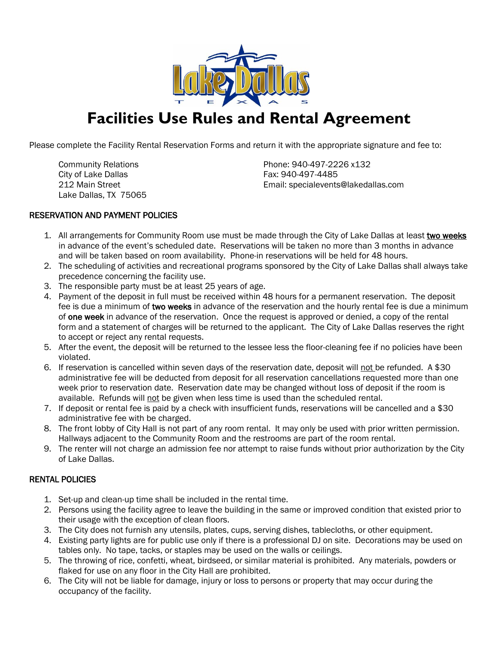

# **Facilities Use Rules and Rental Agreement**

Please complete the Facility Rental Reservation Forms and return it with the appropriate signature and fee to:

City of Lake Dallas Fax: 940-497-4485 Lake Dallas, TX 75065

Community Relations **Phone: 940-497-2226 x132** 212 Main Street Email: specialevents@lakedallas.com

## RESERVATION AND PAYMENT POLICIES

- 1. All arrangements for Community Room use must be made through the City of Lake Dallas at least two weeks in advance of the event's scheduled date. Reservations will be taken no more than 3 months in advance and will be taken based on room availability. Phone-in reservations will be held for 48 hours.
- 2. The scheduling of activities and recreational programs sponsored by the City of Lake Dallas shall always take precedence concerning the facility use.
- 3. The responsible party must be at least 25 years of age.
- 4. Payment of the deposit in full must be received within 48 hours for a permanent reservation. The deposit fee is due a minimum of two weeks in advance of the reservation and the hourly rental fee is due a minimum of one week in advance of the reservation. Once the request is approved or denied, a copy of the rental form and a statement of charges will be returned to the applicant. The City of Lake Dallas reserves the right to accept or reject any rental requests.
- 5. After the event, the deposit will be returned to the lessee less the floor-cleaning fee if no policies have been violated.
- 6. If reservation is cancelled within seven days of the reservation date, deposit will not be refunded. A \$30 administrative fee will be deducted from deposit for all reservation cancellations requested more than one week prior to reservation date. Reservation date may be changed without loss of deposit if the room is available. Refunds will not be given when less time is used than the scheduled rental.
- 7. If deposit or rental fee is paid by a check with insufficient funds, reservations will be cancelled and a \$30 administrative fee with be charged.
- 8. The front lobby of City Hall is not part of any room rental. It may only be used with prior written permission. Hallways adjacent to the Community Room and the restrooms are part of the room rental.
- 9. The renter will not charge an admission fee nor attempt to raise funds without prior authorization by the City of Lake Dallas.

#### RENTAL POLICIES

- 1. Set-up and clean-up time shall be included in the rental time.
- 2. Persons using the facility agree to leave the building in the same or improved condition that existed prior to their usage with the exception of clean floors.
- 3. The City does not furnish any utensils, plates, cups, serving dishes, tablecloths, or other equipment.
- 4. Existing party lights are for public use only if there is a professional DJ on site. Decorations may be used on tables only. No tape, tacks, or staples may be used on the walls or ceilings.
- 5. The throwing of rice, confetti, wheat, birdseed, or similar material is prohibited. Any materials, powders or flaked for use on any floor in the City Hall are prohibited.
- 6. The City will not be liable for damage, injury or loss to persons or property that may occur during the occupancy of the facility.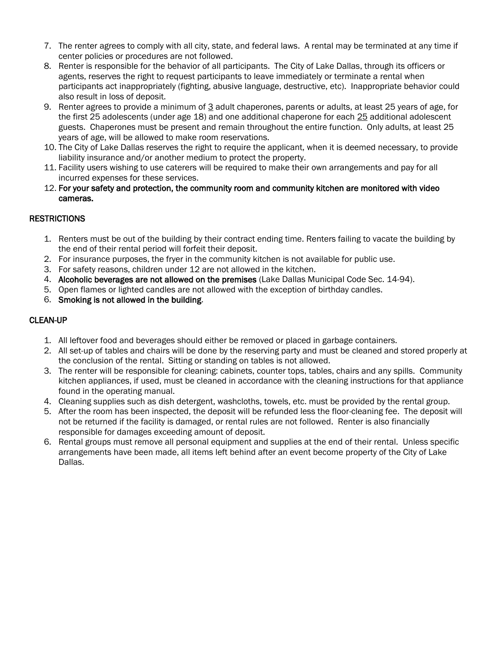- 7. The renter agrees to comply with all city, state, and federal laws. A rental may be terminated at any time if center policies or procedures are not followed.
- 8. Renter is responsible for the behavior of all participants. The City of Lake Dallas, through its officers or agents, reserves the right to request participants to leave immediately or terminate a rental when participants act inappropriately (fighting, abusive language, destructive, etc). Inappropriate behavior could also result in loss of deposit.
- 9. Renter agrees to provide a minimum of 3 adult chaperones, parents or adults, at least 25 years of age, for the first 25 adolescents (under age 18) and one additional chaperone for each 25 additional adolescent guests. Chaperones must be present and remain throughout the entire function. Only adults, at least 25 years of age, will be allowed to make room reservations.
- 10. The City of Lake Dallas reserves the right to require the applicant, when it is deemed necessary, to provide liability insurance and/or another medium to protect the property.
- 11. Facility users wishing to use caterers will be required to make their own arrangements and pay for all incurred expenses for these services.
- 12. For your safety and protection, the community room and community kitchen are monitored with video cameras.

## **RESTRICTIONS**

- 1. Renters must be out of the building by their contract ending time. Renters failing to vacate the building by the end of their rental period will forfeit their deposit.
- 2. For insurance purposes, the fryer in the community kitchen is not available for public use.
- 3. For safety reasons, children under 12 are not allowed in the kitchen.
- 4. Alcoholic beverages are not allowed on the premises (Lake Dallas Municipal Code Sec. 14-94).
- 5. Open flames or lighted candles are not allowed with the exception of birthday candles.
- 6. Smoking is not allowed in the building.

## CLEAN-UP

- 1. All leftover food and beverages should either be removed or placed in garbage containers.
- 2. All set-up of tables and chairs will be done by the reserving party and must be cleaned and stored properly at the conclusion of the rental. Sitting or standing on tables is not allowed.
- 3. The renter will be responsible for cleaning: cabinets, counter tops, tables, chairs and any spills. Community kitchen appliances, if used, must be cleaned in accordance with the cleaning instructions for that appliance found in the operating manual.
- 4. Cleaning supplies such as dish detergent, washcloths, towels, etc. must be provided by the rental group.
- 5. After the room has been inspected, the deposit will be refunded less the floor-cleaning fee. The deposit will not be returned if the facility is damaged, or rental rules are not followed. Renter is also financially responsible for damages exceeding amount of deposit.
- 6. Rental groups must remove all personal equipment and supplies at the end of their rental. Unless specific arrangements have been made, all items left behind after an event become property of the City of Lake Dallas.